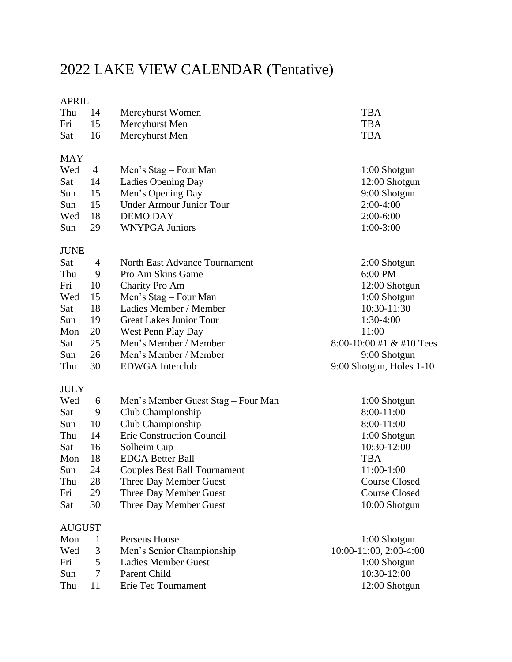## 2022 LAKE VIEW CALENDAR (Tentative)

## APRIL

| Thu           | 14             | Mercyhurst Women                    | <b>TBA</b>                                 |
|---------------|----------------|-------------------------------------|--------------------------------------------|
| Fri           | 15             | Mercyhurst Men                      | <b>TBA</b>                                 |
| Sat           | 16             | Mercyhurst Men                      | <b>TBA</b>                                 |
| <b>MAY</b>    |                |                                     |                                            |
| Wed           | $\overline{4}$ | Men's Stag – Four Man               | 1:00 Shotgun                               |
| Sat           | 14             | Ladies Opening Day                  | 12:00 Shotgun                              |
| Sun           | 15             | Men's Opening Day                   | 9:00 Shotgun                               |
| Sun           | 15             | <b>Under Armour Junior Tour</b>     | $2:00-4:00$                                |
| Wed           | 18             | <b>DEMO DAY</b>                     | $2:00-6:00$                                |
| Sun           | 29             | <b>WNYPGA Juniors</b>               | $1:00-3:00$                                |
| <b>JUNE</b>   |                |                                     |                                            |
| Sat           | 4              | North East Advance Tournament       | 2:00 Shotgun                               |
| Thu           | 9              | Pro Am Skins Game                   | 6:00 PM                                    |
| Fri           | 10             | Charity Pro Am                      | 12:00 Shotgun                              |
| Wed           | 15             | Men's Stag - Four Man               | 1:00 Shotgun                               |
| Sat           | 18             | Ladies Member / Member              | 10:30-11:30                                |
| Sun           | 19             | <b>Great Lakes Junior Tour</b>      | $1:30-4:00$                                |
| Mon           | 20             | West Penn Play Day                  | 11:00                                      |
| Sat           | 25             | Men's Member / Member               | $8:00-10:00 \text{ #1} \& \text{#10}$ Tees |
| Sun           | 26             | Men's Member / Member               | 9:00 Shotgun                               |
| Thu           | 30             | <b>EDWGA</b> Interclub              | 9:00 Shotgun, Holes 1-10                   |
| <b>JULY</b>   |                |                                     |                                            |
| Wed           | 6              | Men's Member Guest Stag – Four Man  | $1:00$ Shotgun                             |
| Sat           | 9              | Club Championship                   | 8:00-11:00                                 |
| Sun           | 10             | Club Championship                   | 8:00-11:00                                 |
| Thu           | 14             | Erie Construction Council           | 1:00 Shotgun                               |
| Sat           | 16             | Solheim Cup                         | 10:30-12:00                                |
| Mon           | 18             | <b>EDGA Better Ball</b>             | <b>TBA</b>                                 |
| Sun           | 24             | <b>Couples Best Ball Tournament</b> | $11:00-1:00$                               |
| Thu           | 28             | Three Day Member Guest              | <b>Course Closed</b>                       |
| Fri           | 29             | Three Day Member Guest              | <b>Course Closed</b>                       |
| Sat           | 30             | Three Day Member Guest              | 10:00 Shotgun                              |
| <b>AUGUST</b> |                |                                     |                                            |
| Mon           | 1              | Perseus House                       | $1:00$ Shotgun                             |
| Wed           | 3              | Men's Senior Championship           | 10:00-11:00, 2:00-4:00                     |
| Fri           | 5              | <b>Ladies Member Guest</b>          | 1:00 Shotgun                               |
| Sun           | 7              | Parent Child                        | 10:30-12:00                                |
| Thu           | 11             | Erie Tec Tournament                 | 12:00 Shotgun                              |